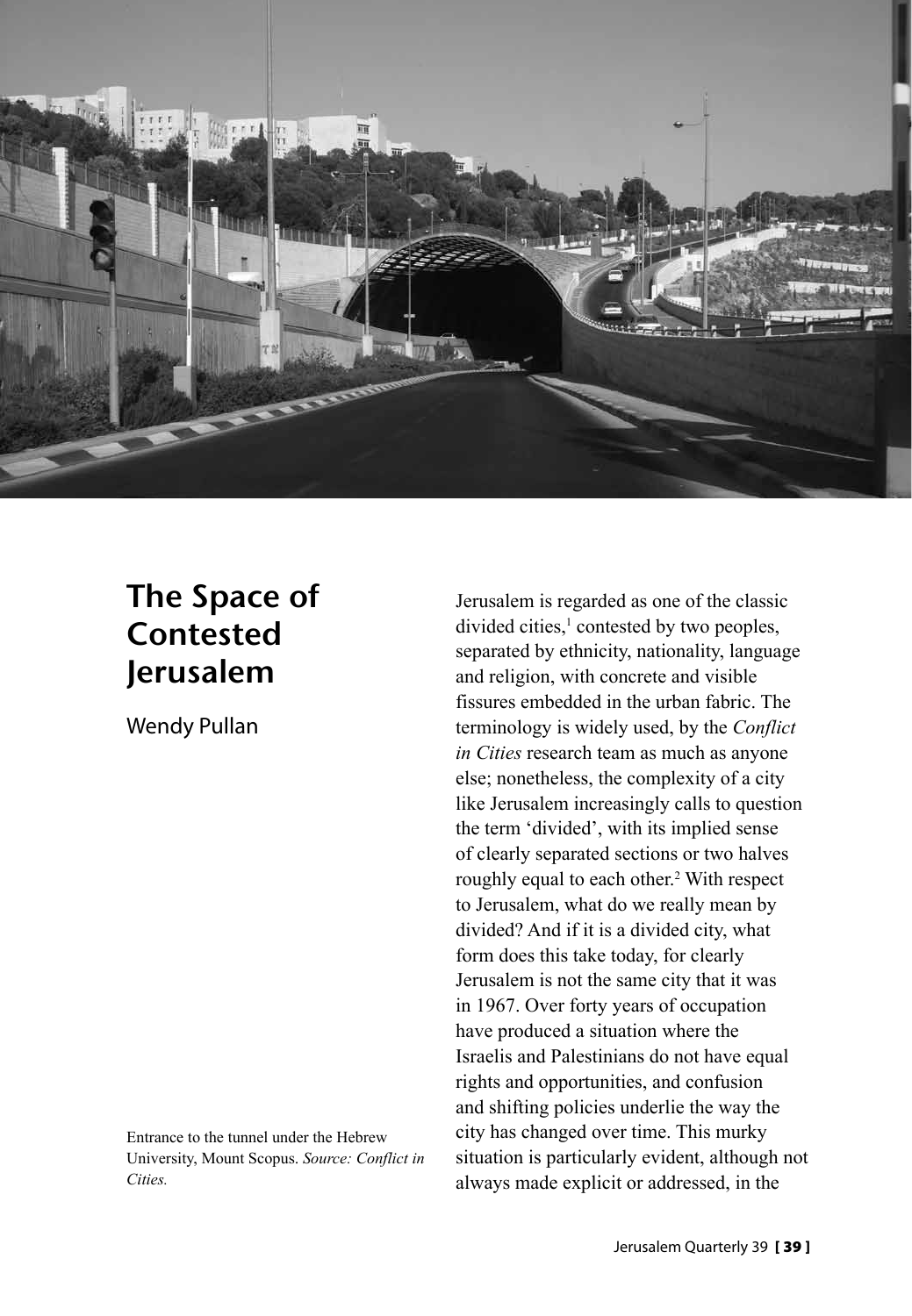

# The Space of Contested Jerusalem

Wendy Pullan

Entrance to the tunnel under the Hebrew University, Mount Scopus. *Source: Conflict in Cities.*

Jerusalem is regarded as one of the classic  $divided cities<sup>1</sup> contested by two peoples,$ separated by ethnicity, nationality, language and religion, with concrete and visible fissures embedded in the urban fabric. The terminology is widely used, by the *Conflict in Cities* research team as much as anyone else; nonetheless, the complexity of a city like Jerusalem increasingly calls to question the term 'divided', with its implied sense of clearly separated sections or two halves roughly equal to each other.<sup>2</sup> With respect to Jerusalem, what do we really mean by divided? And if it is a divided city, what form does this take today, for clearly Jerusalem is not the same city that it was in 1967. Over forty years of occupation have produced a situation where the Israelis and Palestinians do not have equal rights and opportunities, and confusion and shifting policies underlie the way the city has changed over time. This murky situation is particularly evident, although not always made explicit or addressed, in the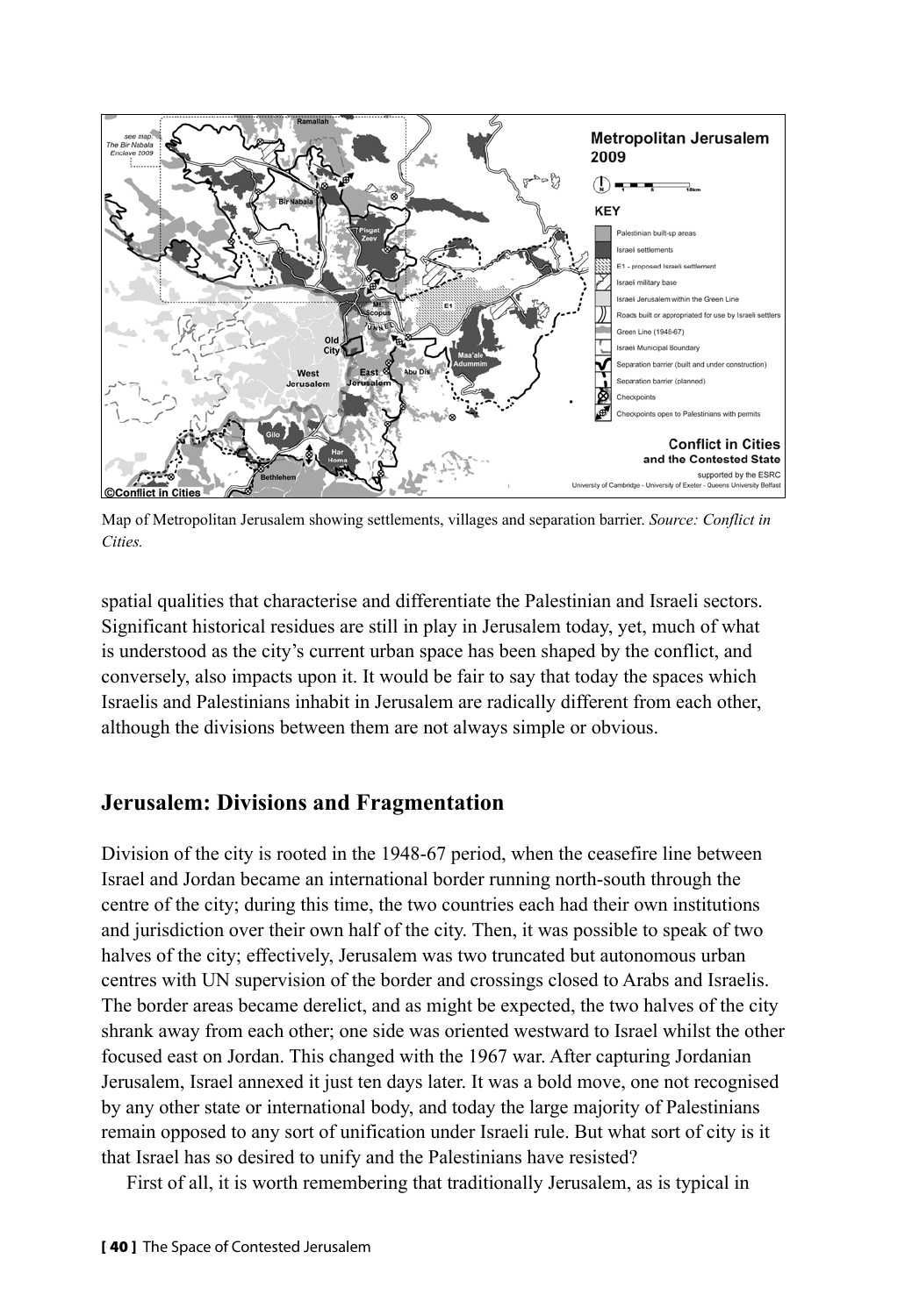

Map of Metropolitan Jerusalem showing settlements, villages and separation barrier. *Source: Conflict in Cities.*

spatial qualities that characterise and differentiate the Palestinian and Israeli sectors. Significant historical residues are still in play in Jerusalem today, yet, much of what is understood as the city's current urban space has been shaped by the conflict, and conversely, also impacts upon it. It would be fair to say that today the spaces which Israelis and Palestinians inhabit in Jerusalem are radically different from each other, although the divisions between them are not always simple or obvious.

## **Jerusalem: Divisions and Fragmentation**

Division of the city is rooted in the 1948-67 period, when the ceasefire line between Israel and Jordan became an international border running north-south through the centre of the city; during this time, the two countries each had their own institutions and jurisdiction over their own half of the city. Then, it was possible to speak of two halves of the city; effectively, Jerusalem was two truncated but autonomous urban centres with UN supervision of the border and crossings closed to Arabs and Israelis. The border areas became derelict, and as might be expected, the two halves of the city shrank away from each other; one side was oriented westward to Israel whilst the other focused east on Jordan. This changed with the 1967 war. After capturing Jordanian Jerusalem, Israel annexed it just ten days later. It was a bold move, one not recognised by any other state or international body, and today the large majority of Palestinians remain opposed to any sort of unification under Israeli rule. But what sort of city is it that Israel has so desired to unify and the Palestinians have resisted?

First of all, it is worth remembering that traditionally Jerusalem, as is typical in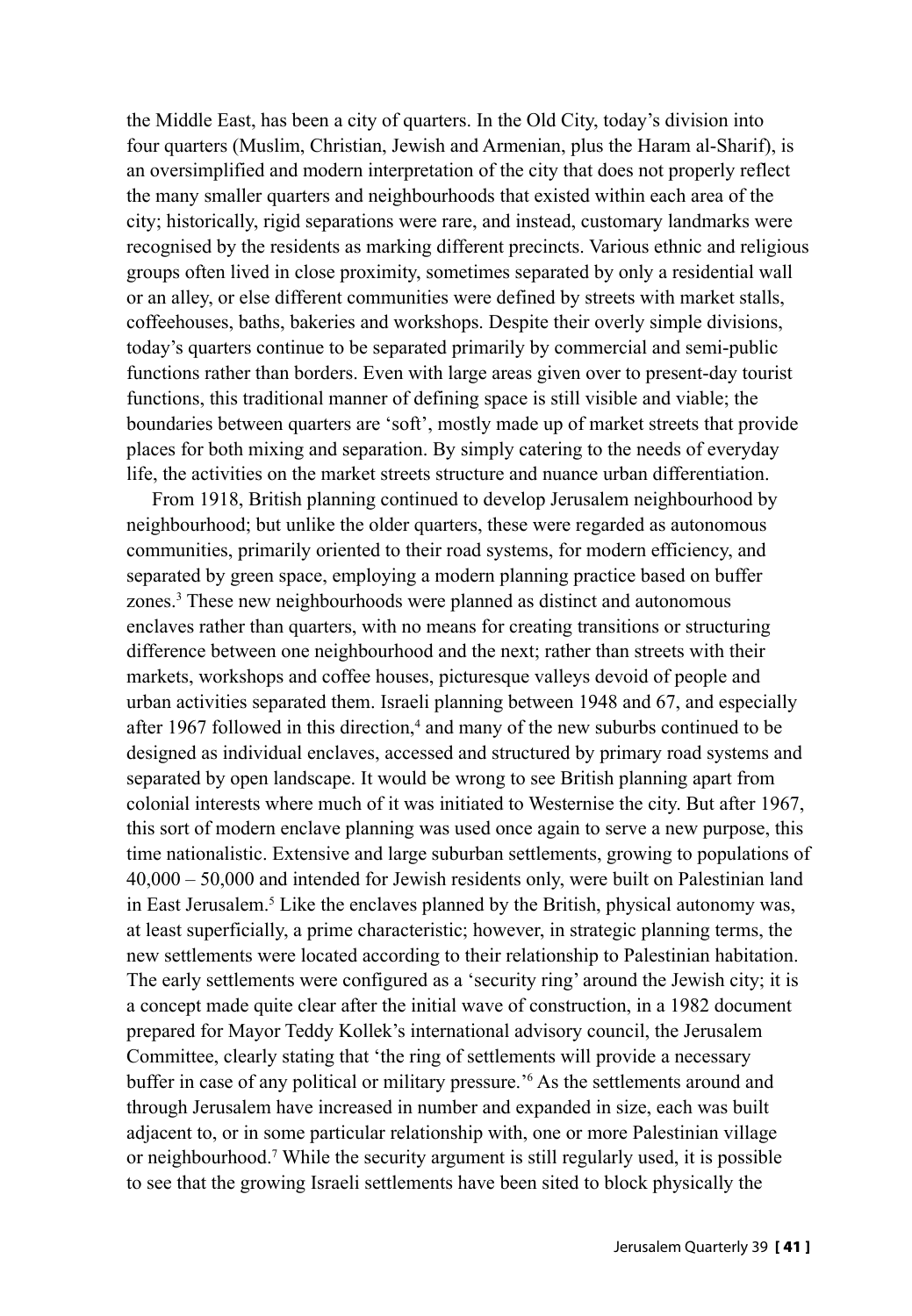the Middle East, has been a city of quarters. In the Old City, today's division into four quarters (Muslim, Christian, Jewish and Armenian, plus the Haram al-Sharif), is an oversimplified and modern interpretation of the city that does not properly reflect the many smaller quarters and neighbourhoods that existed within each area of the city; historically, rigid separations were rare, and instead, customary landmarks were recognised by the residents as marking different precincts. Various ethnic and religious groups often lived in close proximity, sometimes separated by only a residential wall or an alley, or else different communities were defined by streets with market stalls, coffeehouses, baths, bakeries and workshops. Despite their overly simple divisions, today's quarters continue to be separated primarily by commercial and semi-public functions rather than borders. Even with large areas given over to present-day tourist functions, this traditional manner of defining space is still visible and viable; the boundaries between quarters are 'soft', mostly made up of market streets that provide places for both mixing and separation. By simply catering to the needs of everyday life, the activities on the market streets structure and nuance urban differentiation.

From 1918, British planning continued to develop Jerusalem neighbourhood by neighbourhood; but unlike the older quarters, these were regarded as autonomous communities, primarily oriented to their road systems, for modern efficiency, and separated by green space, employing a modern planning practice based on buffer zones.3 These new neighbourhoods were planned as distinct and autonomous enclaves rather than quarters, with no means for creating transitions or structuring difference between one neighbourhood and the next; rather than streets with their markets, workshops and coffee houses, picturesque valleys devoid of people and urban activities separated them. Israeli planning between 1948 and 67, and especially after 1967 followed in this direction,<sup>4</sup> and many of the new suburbs continued to be designed as individual enclaves, accessed and structured by primary road systems and separated by open landscape. It would be wrong to see British planning apart from colonial interests where much of it was initiated to Westernise the city. But after 1967, this sort of modern enclave planning was used once again to serve a new purpose, this time nationalistic. Extensive and large suburban settlements, growing to populations of 40,000 – 50,000 and intended for Jewish residents only, were built on Palestinian land in East Jerusalem.<sup>5</sup> Like the enclaves planned by the British, physical autonomy was, at least superficially, a prime characteristic; however, in strategic planning terms, the new settlements were located according to their relationship to Palestinian habitation. The early settlements were configured as a 'security ring' around the Jewish city; it is a concept made quite clear after the initial wave of construction, in a 1982 document prepared for Mayor Teddy Kollek's international advisory council, the Jerusalem Committee, clearly stating that 'the ring of settlements will provide a necessary buffer in case of any political or military pressure.'6 As the settlements around and through Jerusalem have increased in number and expanded in size, each was built adjacent to, or in some particular relationship with, one or more Palestinian village or neighbourhood.7 While the security argument is still regularly used, it is possible to see that the growing Israeli settlements have been sited to block physically the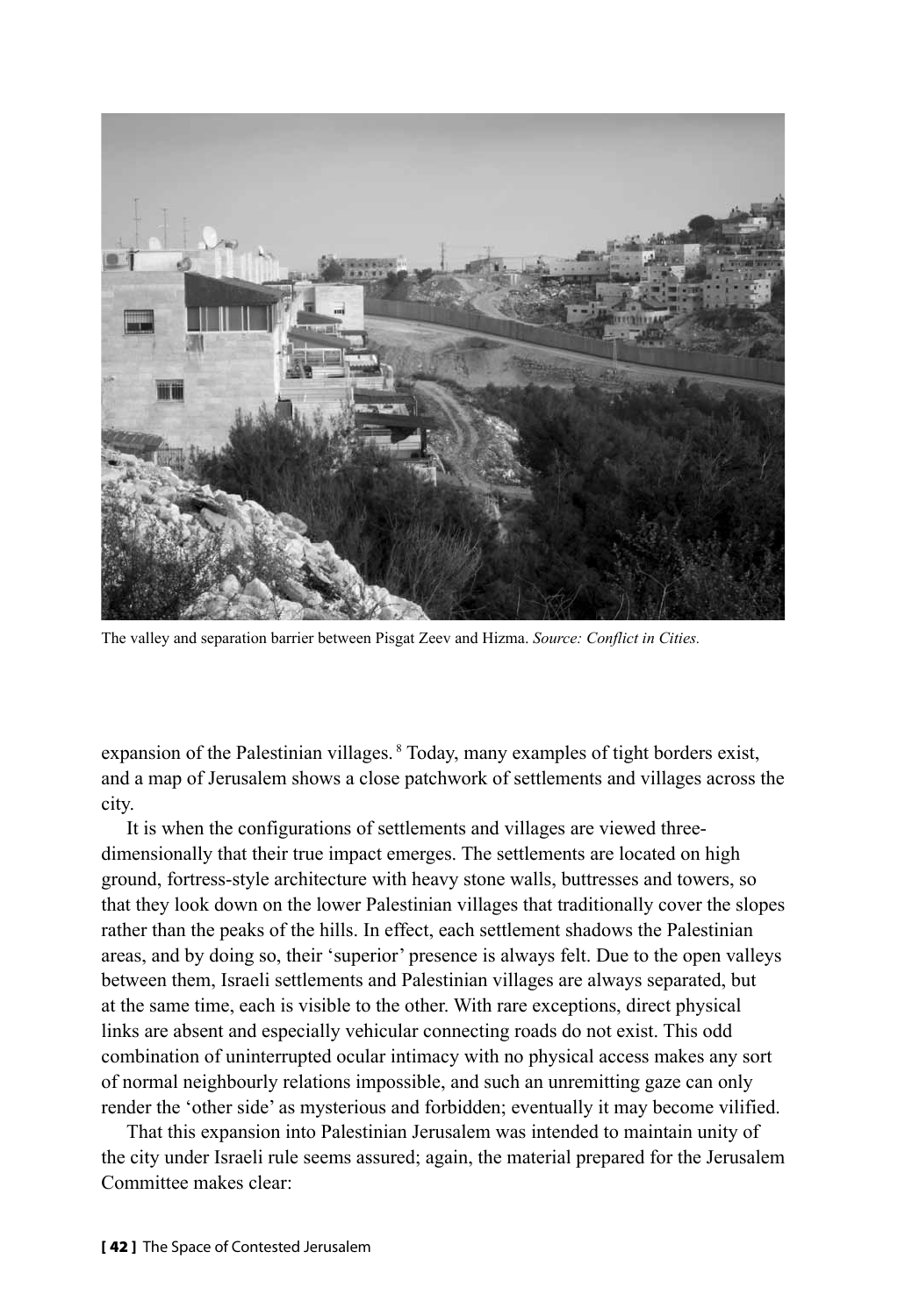

The valley and separation barrier between Pisgat Zeev and Hizma. *Source: Conflict in Cities.*

expansion of the Palestinian villages. <sup>8</sup> Today, many examples of tight borders exist, and a map of Jerusalem shows a close patchwork of settlements and villages across the city.

It is when the configurations of settlements and villages are viewed threedimensionally that their true impact emerges. The settlements are located on high ground, fortress-style architecture with heavy stone walls, buttresses and towers, so that they look down on the lower Palestinian villages that traditionally cover the slopes rather than the peaks of the hills. In effect, each settlement shadows the Palestinian areas, and by doing so, their 'superior' presence is always felt. Due to the open valleys between them, Israeli settlements and Palestinian villages are always separated, but at the same time, each is visible to the other. With rare exceptions, direct physical links are absent and especially vehicular connecting roads do not exist. This odd combination of uninterrupted ocular intimacy with no physical access makes any sort of normal neighbourly relations impossible, and such an unremitting gaze can only render the 'other side' as mysterious and forbidden; eventually it may become vilified.

That this expansion into Palestinian Jerusalem was intended to maintain unity of the city under Israeli rule seems assured; again, the material prepared for the Jerusalem Committee makes clear: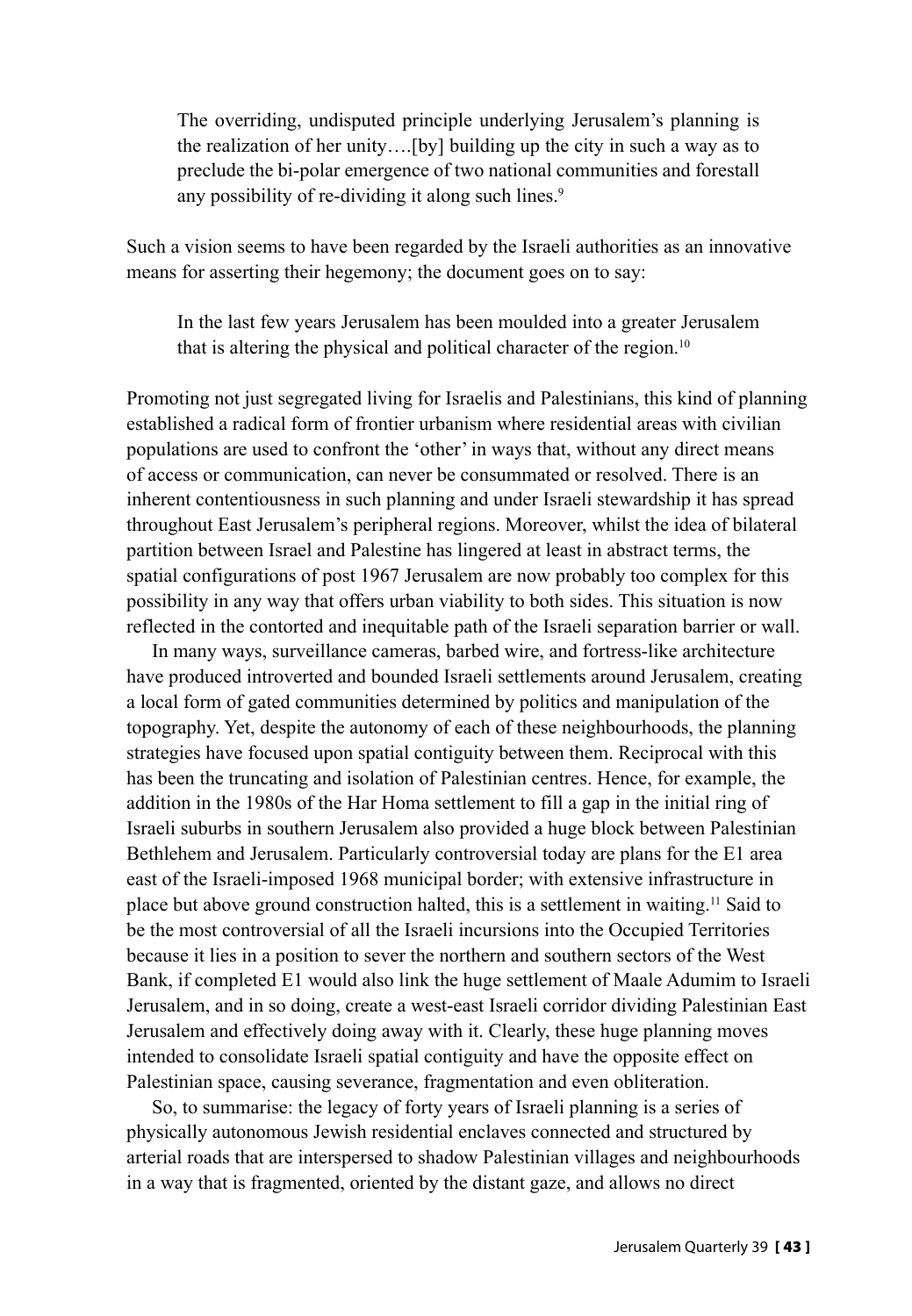The overriding, undisputed principle underlying Jerusalem's planning is the realization of her unity….[by] building up the city in such a way as to preclude the bi-polar emergence of two national communities and forestall any possibility of re-dividing it along such lines.<sup>9</sup>

Such a vision seems to have been regarded by the Israeli authorities as an innovative means for asserting their hegemony; the document goes on to say:

In the last few years Jerusalem has been moulded into a greater Jerusalem that is altering the physical and political character of the region.<sup>10</sup>

Promoting not just segregated living for Israelis and Palestinians, this kind of planning established a radical form of frontier urbanism where residential areas with civilian populations are used to confront the 'other' in ways that, without any direct means of access or communication, can never be consummated or resolved. There is an inherent contentiousness in such planning and under Israeli stewardship it has spread throughout East Jerusalem's peripheral regions. Moreover, whilst the idea of bilateral partition between Israel and Palestine has lingered at least in abstract terms, the spatial configurations of post 1967 Jerusalem are now probably too complex for this possibility in any way that offers urban viability to both sides. This situation is now reflected in the contorted and inequitable path of the Israeli separation barrier or wall.

In many ways, surveillance cameras, barbed wire, and fortress-like architecture have produced introverted and bounded Israeli settlements around Jerusalem, creating a local form of gated communities determined by politics and manipulation of the topography. Yet, despite the autonomy of each of these neighbourhoods, the planning strategies have focused upon spatial contiguity between them. Reciprocal with this has been the truncating and isolation of Palestinian centres. Hence, for example, the addition in the 1980s of the Har Homa settlement to fill a gap in the initial ring of Israeli suburbs in southern Jerusalem also provided a huge block between Palestinian Bethlehem and Jerusalem. Particularly controversial today are plans for the E1 area east of the Israeli-imposed 1968 municipal border; with extensive infrastructure in place but above ground construction halted, this is a settlement in waiting.11 Said to be the most controversial of all the Israeli incursions into the Occupied Territories because it lies in a position to sever the northern and southern sectors of the West Bank, if completed E1 would also link the huge settlement of Maale Adumim to Israeli Jerusalem, and in so doing, create a west-east Israeli corridor dividing Palestinian East Jerusalem and effectively doing away with it. Clearly, these huge planning moves intended to consolidate Israeli spatial contiguity and have the opposite effect on Palestinian space, causing severance, fragmentation and even obliteration.

So, to summarise: the legacy of forty years of Israeli planning is a series of physically autonomous Jewish residential enclaves connected and structured by arterial roads that are interspersed to shadow Palestinian villages and neighbourhoods in a way that is fragmented, oriented by the distant gaze, and allows no direct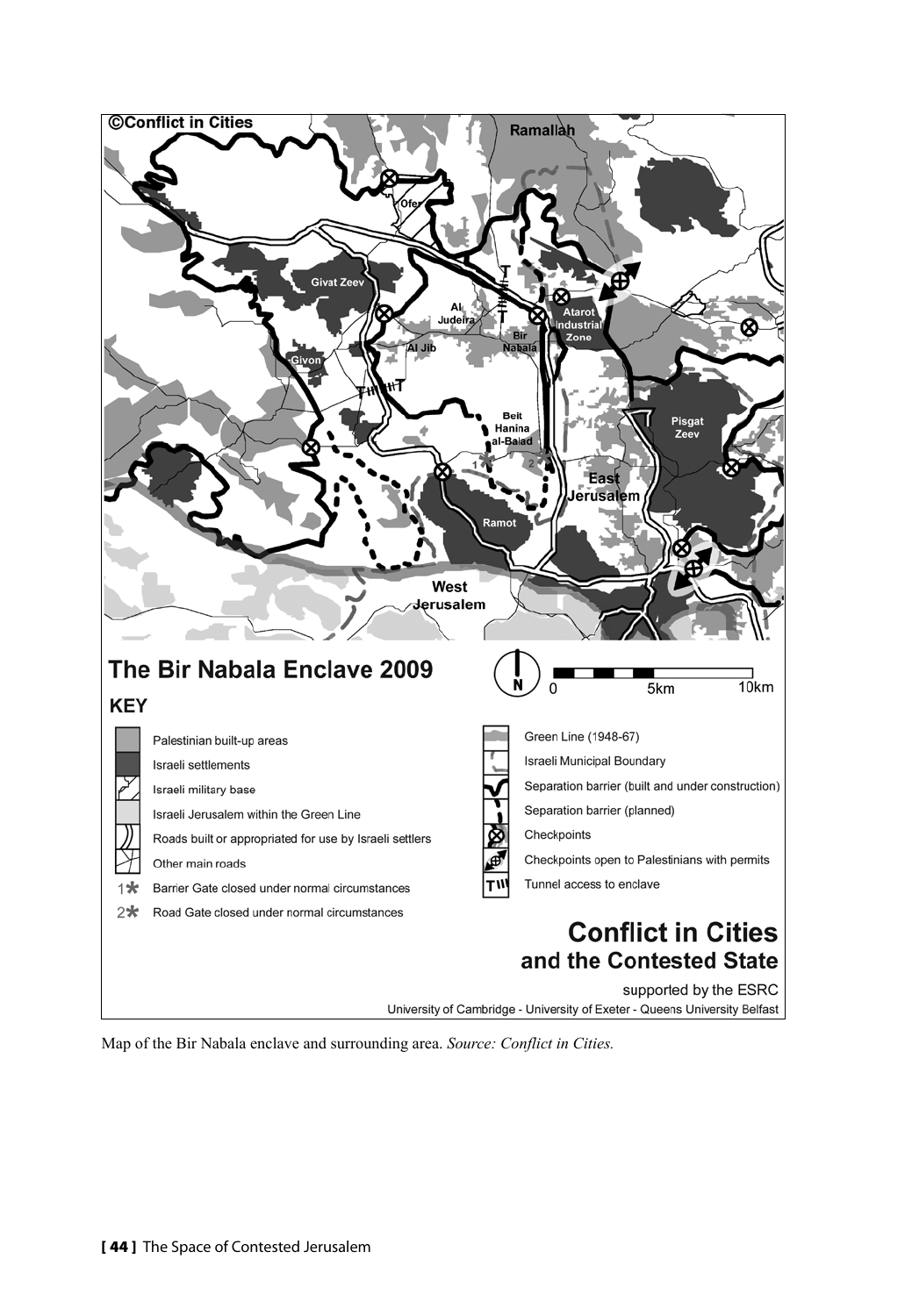

Map of the Bir Nabala enclave and surrounding area. *Source: Conflict in Cities.*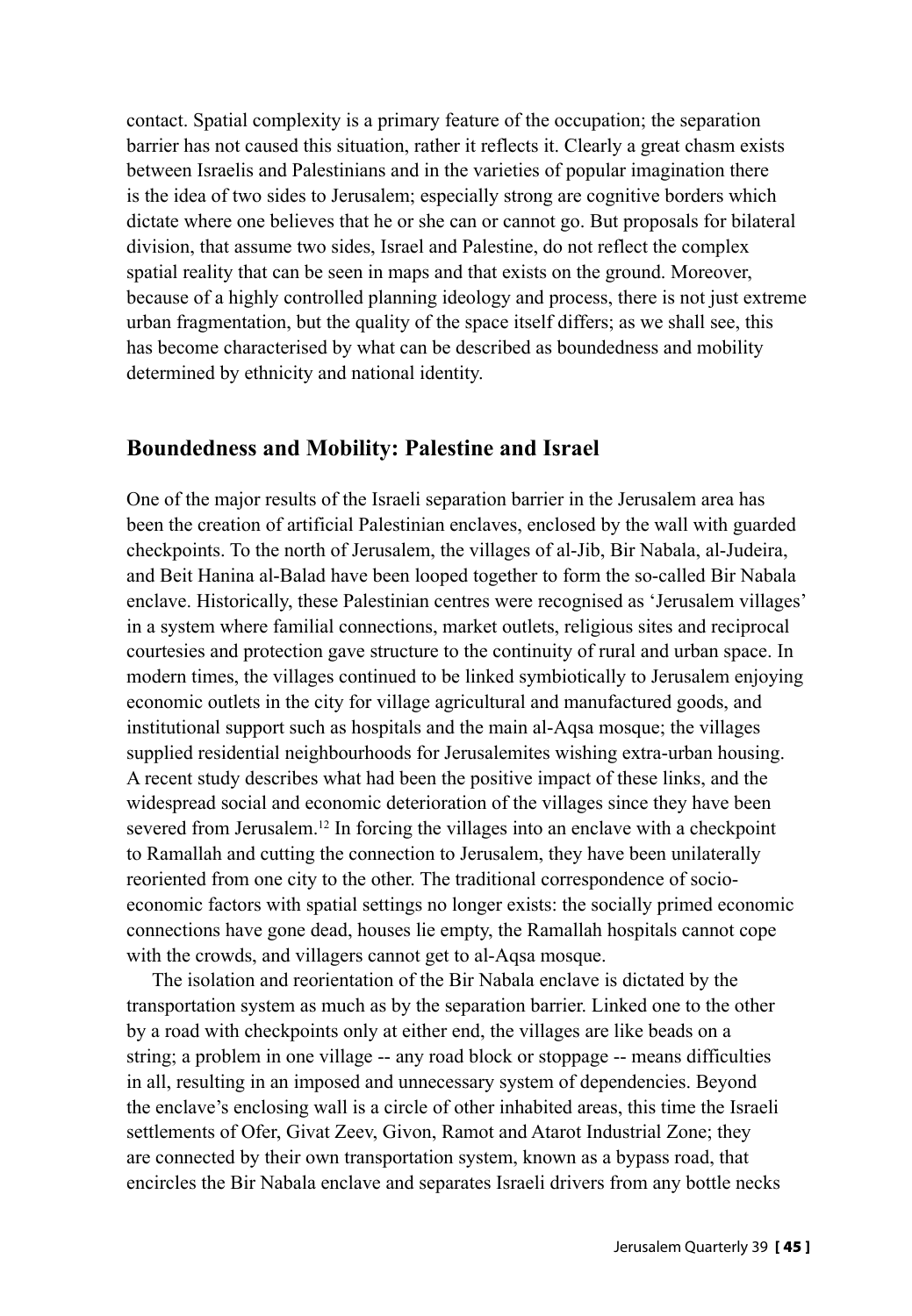contact. Spatial complexity is a primary feature of the occupation; the separation barrier has not caused this situation, rather it reflects it. Clearly a great chasm exists between Israelis and Palestinians and in the varieties of popular imagination there is the idea of two sides to Jerusalem; especially strong are cognitive borders which dictate where one believes that he or she can or cannot go. But proposals for bilateral division, that assume two sides, Israel and Palestine, do not reflect the complex spatial reality that can be seen in maps and that exists on the ground. Moreover, because of a highly controlled planning ideology and process, there is not just extreme urban fragmentation, but the quality of the space itself differs; as we shall see, this has become characterised by what can be described as boundedness and mobility determined by ethnicity and national identity.

### **Boundedness and Mobility: Palestine and Israel**

One of the major results of the Israeli separation barrier in the Jerusalem area has been the creation of artificial Palestinian enclaves, enclosed by the wall with guarded checkpoints. To the north of Jerusalem, the villages of al-Jib, Bir Nabala, al-Judeira, and Beit Hanina al-Balad have been looped together to form the so-called Bir Nabala enclave. Historically, these Palestinian centres were recognised as 'Jerusalem villages' in a system where familial connections, market outlets, religious sites and reciprocal courtesies and protection gave structure to the continuity of rural and urban space. In modern times, the villages continued to be linked symbiotically to Jerusalem enjoying economic outlets in the city for village agricultural and manufactured goods, and institutional support such as hospitals and the main al-Aqsa mosque; the villages supplied residential neighbourhoods for Jerusalemites wishing extra-urban housing. A recent study describes what had been the positive impact of these links, and the widespread social and economic deterioration of the villages since they have been severed from Jerusalem.<sup>12</sup> In forcing the villages into an enclave with a checkpoint to Ramallah and cutting the connection to Jerusalem, they have been unilaterally reoriented from one city to the other. The traditional correspondence of socioeconomic factors with spatial settings no longer exists: the socially primed economic connections have gone dead, houses lie empty, the Ramallah hospitals cannot cope with the crowds, and villagers cannot get to al-Aqsa mosque.

The isolation and reorientation of the Bir Nabala enclave is dictated by the transportation system as much as by the separation barrier. Linked one to the other by a road with checkpoints only at either end, the villages are like beads on a string; a problem in one village -- any road block or stoppage -- means difficulties in all, resulting in an imposed and unnecessary system of dependencies. Beyond the enclave's enclosing wall is a circle of other inhabited areas, this time the Israeli settlements of Ofer, Givat Zeev, Givon, Ramot and Atarot Industrial Zone; they are connected by their own transportation system, known as a bypass road, that encircles the Bir Nabala enclave and separates Israeli drivers from any bottle necks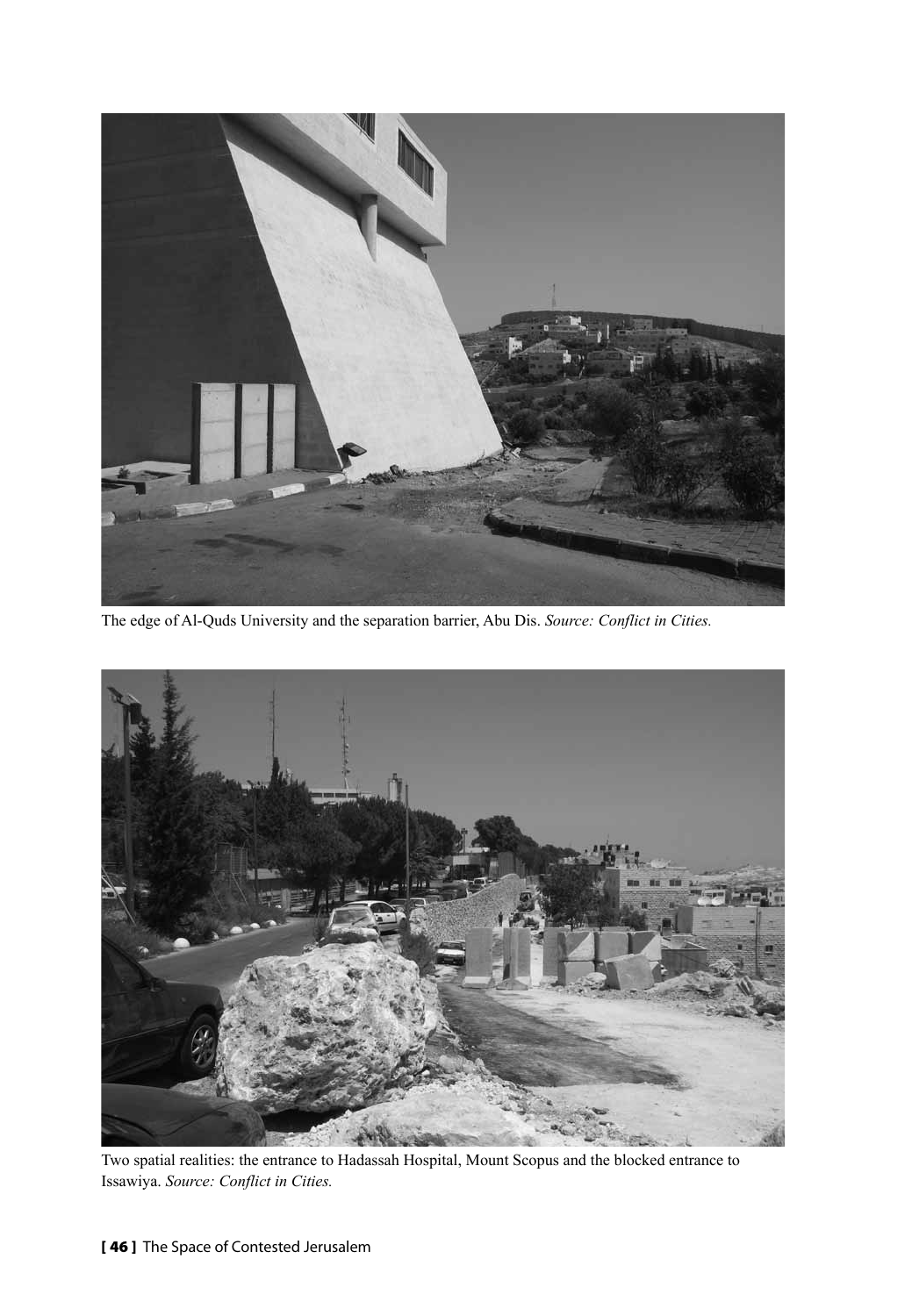

The edge of Al-Quds University and the separation barrier, Abu Dis. *Source: Conflict in Cities.*



Two spatial realities: the entrance to Hadassah Hospital, Mount Scopus and the blocked entrance to Issawiya. *Source: Conflict in Cities.*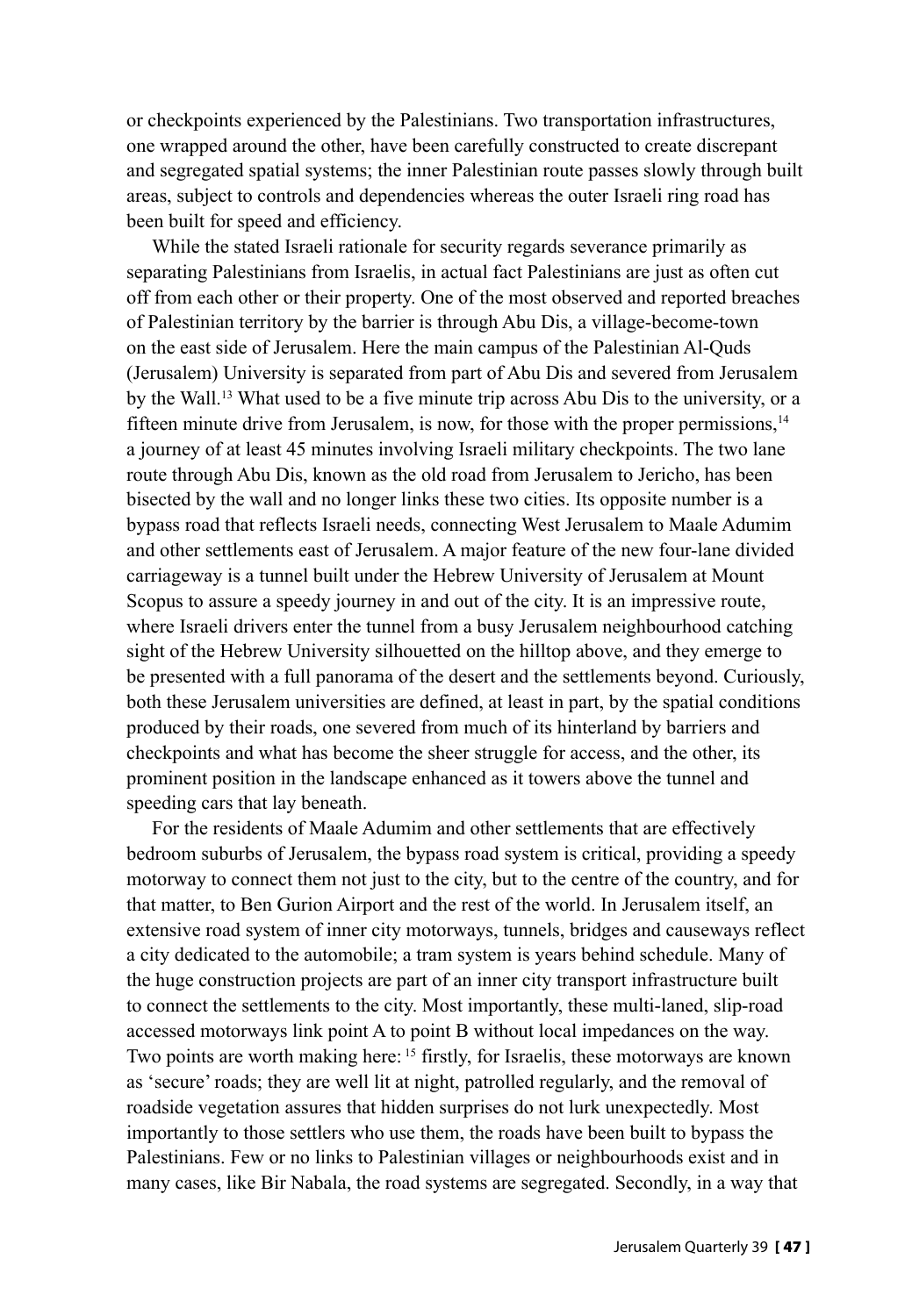or checkpoints experienced by the Palestinians. Two transportation infrastructures, one wrapped around the other, have been carefully constructed to create discrepant and segregated spatial systems; the inner Palestinian route passes slowly through built areas, subject to controls and dependencies whereas the outer Israeli ring road has been built for speed and efficiency.

While the stated Israeli rationale for security regards severance primarily as separating Palestinians from Israelis, in actual fact Palestinians are just as often cut off from each other or their property. One of the most observed and reported breaches of Palestinian territory by the barrier is through Abu Dis, a village-become-town on the east side of Jerusalem. Here the main campus of the Palestinian Al-Quds (Jerusalem) University is separated from part of Abu Dis and severed from Jerusalem by the Wall.<sup>13</sup> What used to be a five minute trip across Abu Dis to the university, or a fifteen minute drive from Jerusalem, is now, for those with the proper permissions.<sup>14</sup> a journey of at least 45 minutes involving Israeli military checkpoints. The two lane route through Abu Dis, known as the old road from Jerusalem to Jericho, has been bisected by the wall and no longer links these two cities. Its opposite number is a bypass road that reflects Israeli needs, connecting West Jerusalem to Maale Adumim and other settlements east of Jerusalem. A major feature of the new four-lane divided carriageway is a tunnel built under the Hebrew University of Jerusalem at Mount Scopus to assure a speedy journey in and out of the city. It is an impressive route, where Israeli drivers enter the tunnel from a busy Jerusalem neighbourhood catching sight of the Hebrew University silhouetted on the hilltop above, and they emerge to be presented with a full panorama of the desert and the settlements beyond. Curiously, both these Jerusalem universities are defined, at least in part, by the spatial conditions produced by their roads, one severed from much of its hinterland by barriers and checkpoints and what has become the sheer struggle for access, and the other, its prominent position in the landscape enhanced as it towers above the tunnel and speeding cars that lay beneath.

For the residents of Maale Adumim and other settlements that are effectively bedroom suburbs of Jerusalem, the bypass road system is critical, providing a speedy motorway to connect them not just to the city, but to the centre of the country, and for that matter, to Ben Gurion Airport and the rest of the world. In Jerusalem itself, an extensive road system of inner city motorways, tunnels, bridges and causeways reflect a city dedicated to the automobile; a tram system is years behind schedule. Many of the huge construction projects are part of an inner city transport infrastructure built to connect the settlements to the city. Most importantly, these multi-laned, slip-road accessed motorways link point A to point B without local impedances on the way. Two points are worth making here: 15 firstly, for Israelis, these motorways are known as 'secure' roads; they are well lit at night, patrolled regularly, and the removal of roadside vegetation assures that hidden surprises do not lurk unexpectedly. Most importantly to those settlers who use them, the roads have been built to bypass the Palestinians. Few or no links to Palestinian villages or neighbourhoods exist and in many cases, like Bir Nabala, the road systems are segregated. Secondly, in a way that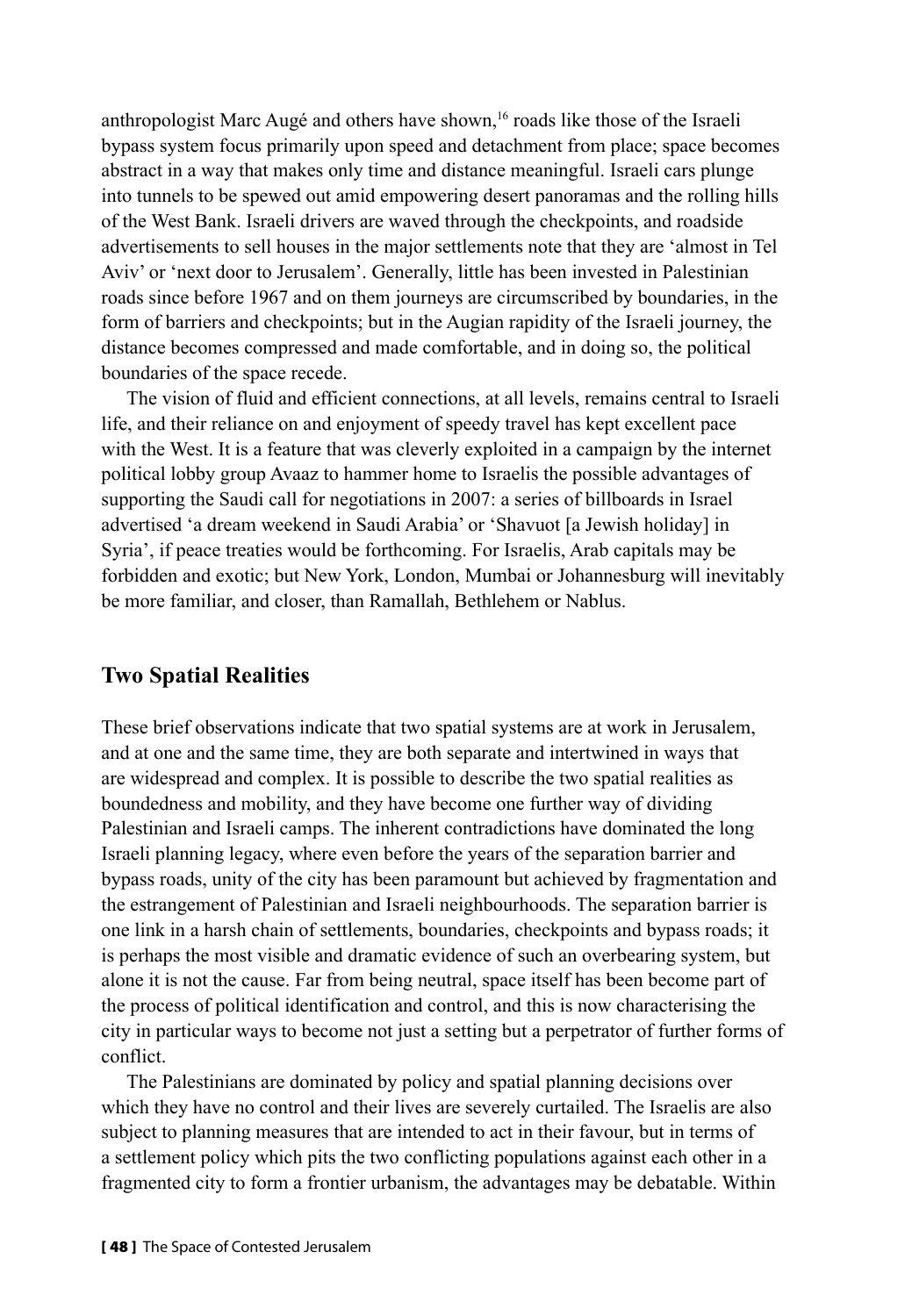anthropologist Marc Augé and others have shown,<sup>16</sup> roads like those of the Israeli bypass system focus primarily upon speed and detachment from place; space becomes abstract in a way that makes only time and distance meaningful. Israeli cars plunge into tunnels to be spewed out amid empowering desert panoramas and the rolling hills of the West Bank. Israeli drivers are waved through the checkpoints, and roadside advertisements to sell houses in the major settlements note that they are 'almost in Tel Aviv' or 'next door to Jerusalem'. Generally, little has been invested in Palestinian roads since before 1967 and on them journeys are circumscribed by boundaries, in the form of barriers and checkpoints; but in the Augian rapidity of the Israeli journey, the distance becomes compressed and made comfortable, and in doing so, the political boundaries of the space recede.

The vision of fluid and efficient connections, at all levels, remains central to Israeli life, and their reliance on and enjoyment of speedy travel has kept excellent pace with the West. It is a feature that was cleverly exploited in a campaign by the internet political lobby group Avaaz to hammer home to Israelis the possible advantages of supporting the Saudi call for negotiations in 2007: a series of billboards in Israel advertised 'a dream weekend in Saudi Arabia' or 'Shavuot [a Jewish holiday] in Syria', if peace treaties would be forthcoming. For Israelis, Arab capitals may be forbidden and exotic; but New York, London, Mumbai or Johannesburg will inevitably be more familiar, and closer, than Ramallah, Bethlehem or Nablus.

#### **Two Spatial Realities**

These brief observations indicate that two spatial systems are at work in Jerusalem, and at one and the same time, they are both separate and intertwined in ways that are widespread and complex. It is possible to describe the two spatial realities as boundedness and mobility, and they have become one further way of dividing Palestinian and Israeli camps. The inherent contradictions have dominated the long Israeli planning legacy, where even before the years of the separation barrier and bypass roads, unity of the city has been paramount but achieved by fragmentation and the estrangement of Palestinian and Israeli neighbourhoods. The separation barrier is one link in a harsh chain of settlements, boundaries, checkpoints and bypass roads; it is perhaps the most visible and dramatic evidence of such an overbearing system, but alone it is not the cause. Far from being neutral, space itself has been become part of the process of political identification and control, and this is now characterising the city in particular ways to become not just a setting but a perpetrator of further forms of conflict.

The Palestinians are dominated by policy and spatial planning decisions over which they have no control and their lives are severely curtailed. The Israelis are also subject to planning measures that are intended to act in their favour, but in terms of a settlement policy which pits the two conflicting populations against each other in a fragmented city to form a frontier urbanism, the advantages may be debatable. Within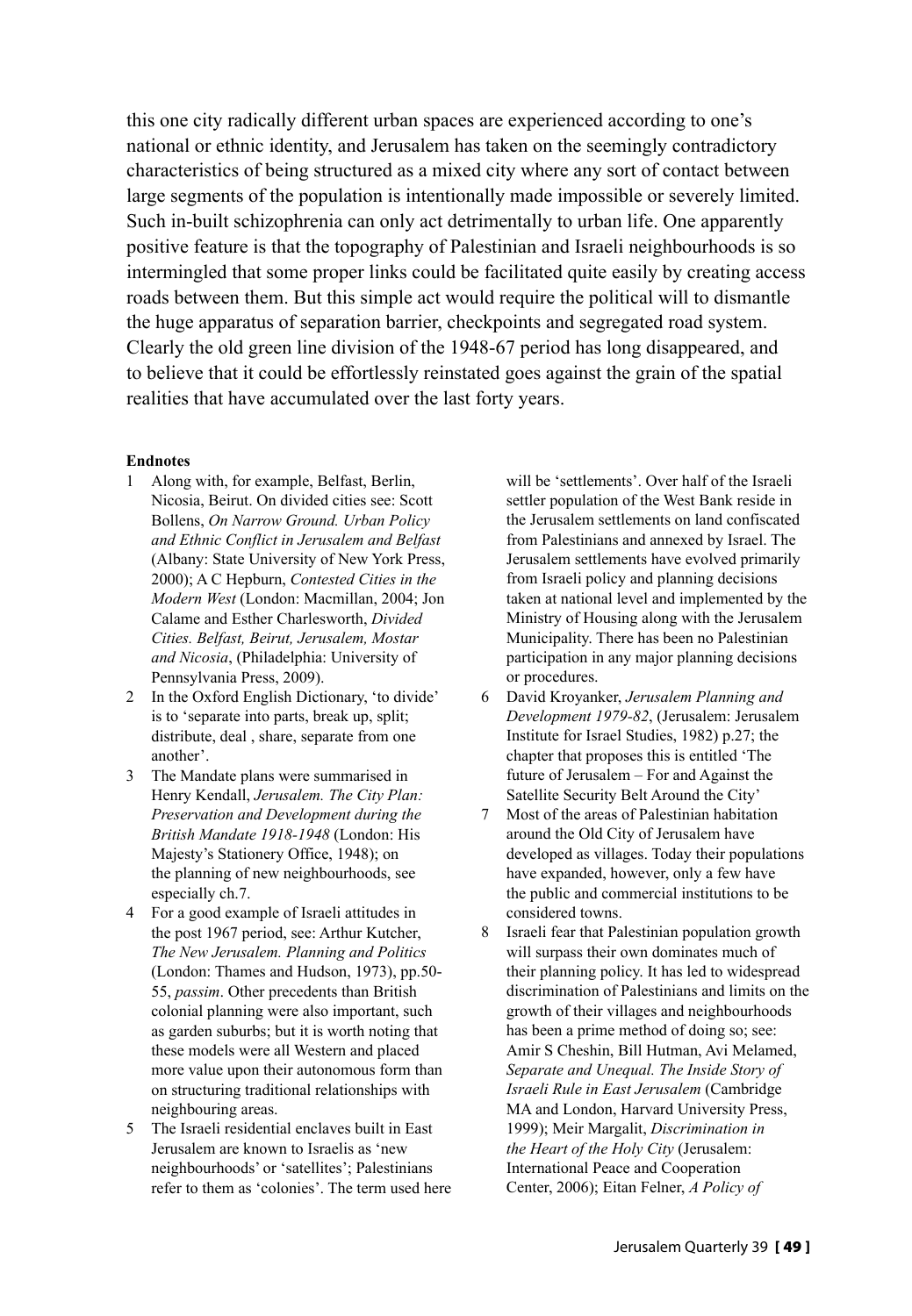this one city radically different urban spaces are experienced according to one's national or ethnic identity, and Jerusalem has taken on the seemingly contradictory characteristics of being structured as a mixed city where any sort of contact between large segments of the population is intentionally made impossible or severely limited. Such in-built schizophrenia can only act detrimentally to urban life. One apparently positive feature is that the topography of Palestinian and Israeli neighbourhoods is so intermingled that some proper links could be facilitated quite easily by creating access roads between them. But this simple act would require the political will to dismantle the huge apparatus of separation barrier, checkpoints and segregated road system. Clearly the old green line division of the 1948-67 period has long disappeared, and to believe that it could be effortlessly reinstated goes against the grain of the spatial realities that have accumulated over the last forty years.

#### **Endnotes**

- 1 Along with, for example, Belfast, Berlin, Nicosia, Beirut. On divided cities see: Scott Bollens, *On Narrow Ground. Urban Policy and Ethnic Conflict in Jerusalem and Belfast* (Albany: State University of New York Press, 2000); A C Hepburn, *Contested Cities in the Modern West* (London: Macmillan, 2004; Jon Calame and Esther Charlesworth, *Divided Cities. Belfast, Beirut, Jerusalem, Mostar and Nicosia*, (Philadelphia: University of Pennsylvania Press, 2009).
- 2 In the Oxford English Dictionary, 'to divide' is to 'separate into parts, break up, split; distribute, deal , share, separate from one another'.
- 3 The Mandate plans were summarised in Henry Kendall, *Jerusalem. The City Plan: Preservation and Development during the British Mandate 1918-1948* (London: His Majesty's Stationery Office, 1948); on the planning of new neighbourhoods, see especially ch.7.
- 4 For a good example of Israeli attitudes in the post 1967 period, see: Arthur Kutcher, *The New Jerusalem. Planning and Politics* (London: Thames and Hudson, 1973), pp.50- 55, *passim*. Other precedents than British colonial planning were also important, such as garden suburbs; but it is worth noting that these models were all Western and placed more value upon their autonomous form than on structuring traditional relationships with neighbouring areas.
- 5 The Israeli residential enclaves built in East Jerusalem are known to Israelis as 'new neighbourhoods' or 'satellites'; Palestinians refer to them as 'colonies'. The term used here

will be 'settlements'. Over half of the Israeli settler population of the West Bank reside in the Jerusalem settlements on land confiscated from Palestinians and annexed by Israel. The Jerusalem settlements have evolved primarily from Israeli policy and planning decisions taken at national level and implemented by the Ministry of Housing along with the Jerusalem Municipality. There has been no Palestinian participation in any major planning decisions or procedures.

- 6 David Kroyanker, *Jerusalem Planning and Development 1979-82*, (Jerusalem: Jerusalem Institute for Israel Studies, 1982) p.27; the chapter that proposes this is entitled 'The future of Jerusalem – For and Against the Satellite Security Belt Around the City'
- 7 Most of the areas of Palestinian habitation around the Old City of Jerusalem have developed as villages. Today their populations have expanded, however, only a few have the public and commercial institutions to be considered towns.
- 8 Israeli fear that Palestinian population growth will surpass their own dominates much of their planning policy. It has led to widespread discrimination of Palestinians and limits on the growth of their villages and neighbourhoods has been a prime method of doing so; see: Amir S Cheshin, Bill Hutman, Avi Melamed, *Separate and Unequal. The Inside Story of Israeli Rule in East Jerusalem* (Cambridge MA and London, Harvard University Press, 1999); Meir Margalit, *Discrimination in the Heart of the Holy City* (Jerusalem: International Peace and Cooperation Center, 2006); Eitan Felner, *A Policy of*